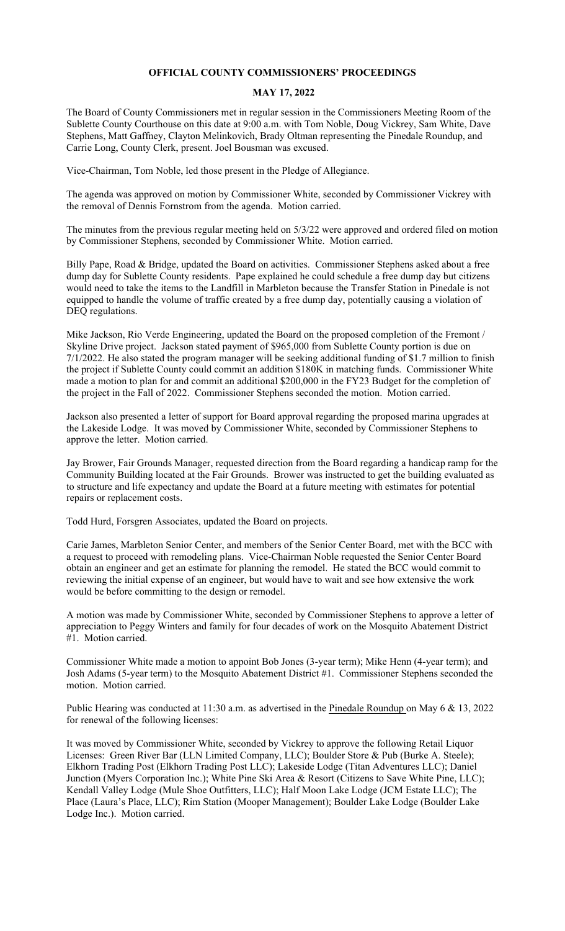## **OFFICIAL COUNTY COMMISSIONERS' PROCEEDINGS**

## **MAY 17, 2022**

The Board of County Commissioners met in regular session in the Commissioners Meeting Room of the Sublette County Courthouse on this date at 9:00 a.m. with Tom Noble, Doug Vickrey, Sam White, Dave Stephens, Matt Gaffney, Clayton Melinkovich, Brady Oltman representing the Pinedale Roundup, and Carrie Long, County Clerk, present. Joel Bousman was excused.

Vice-Chairman, Tom Noble, led those present in the Pledge of Allegiance.

The agenda was approved on motion by Commissioner White, seconded by Commissioner Vickrey with the removal of Dennis Fornstrom from the agenda. Motion carried.

The minutes from the previous regular meeting held on 5/3/22 were approved and ordered filed on motion by Commissioner Stephens, seconded by Commissioner White. Motion carried.

Billy Pape, Road & Bridge, updated the Board on activities. Commissioner Stephens asked about a free dump day for Sublette County residents. Pape explained he could schedule a free dump day but citizens would need to take the items to the Landfill in Marbleton because the Transfer Station in Pinedale is not equipped to handle the volume of traffic created by a free dump day, potentially causing a violation of DEQ regulations.

Mike Jackson, Rio Verde Engineering, updated the Board on the proposed completion of the Fremont / Skyline Drive project. Jackson stated payment of \$965,000 from Sublette County portion is due on 7/1/2022. He also stated the program manager will be seeking additional funding of \$1.7 million to finish the project if Sublette County could commit an addition \$180K in matching funds. Commissioner White made a motion to plan for and commit an additional \$200,000 in the FY23 Budget for the completion of the project in the Fall of 2022. Commissioner Stephens seconded the motion. Motion carried.

Jackson also presented a letter of support for Board approval regarding the proposed marina upgrades at the Lakeside Lodge. It was moved by Commissioner White, seconded by Commissioner Stephens to approve the letter. Motion carried.

Jay Brower, Fair Grounds Manager, requested direction from the Board regarding a handicap ramp for the Community Building located at the Fair Grounds. Brower was instructed to get the building evaluated as to structure and life expectancy and update the Board at a future meeting with estimates for potential repairs or replacement costs.

Todd Hurd, Forsgren Associates, updated the Board on projects.

Carie James, Marbleton Senior Center, and members of the Senior Center Board, met with the BCC with a request to proceed with remodeling plans. Vice-Chairman Noble requested the Senior Center Board obtain an engineer and get an estimate for planning the remodel. He stated the BCC would commit to reviewing the initial expense of an engineer, but would have to wait and see how extensive the work would be before committing to the design or remodel.

A motion was made by Commissioner White, seconded by Commissioner Stephens to approve a letter of appreciation to Peggy Winters and family for four decades of work on the Mosquito Abatement District #1. Motion carried.

Commissioner White made a motion to appoint Bob Jones (3-year term); Mike Henn (4-year term); and Josh Adams (5-year term) to the Mosquito Abatement District #1. Commissioner Stephens seconded the motion. Motion carried.

Public Hearing was conducted at 11:30 a.m. as advertised in the Pinedale Roundup on May 6 & 13, 2022 for renewal of the following licenses:

It was moved by Commissioner White, seconded by Vickrey to approve the following Retail Liquor Licenses: Green River Bar (LLN Limited Company, LLC); Boulder Store & Pub (Burke A. Steele); Elkhorn Trading Post (Elkhorn Trading Post LLC); Lakeside Lodge (Titan Adventures LLC); Daniel Junction (Myers Corporation Inc.); White Pine Ski Area & Resort (Citizens to Save White Pine, LLC); Kendall Valley Lodge (Mule Shoe Outfitters, LLC); Half Moon Lake Lodge (JCM Estate LLC); The Place (Laura's Place, LLC); Rim Station (Mooper Management); Boulder Lake Lodge (Boulder Lake Lodge Inc.). Motion carried.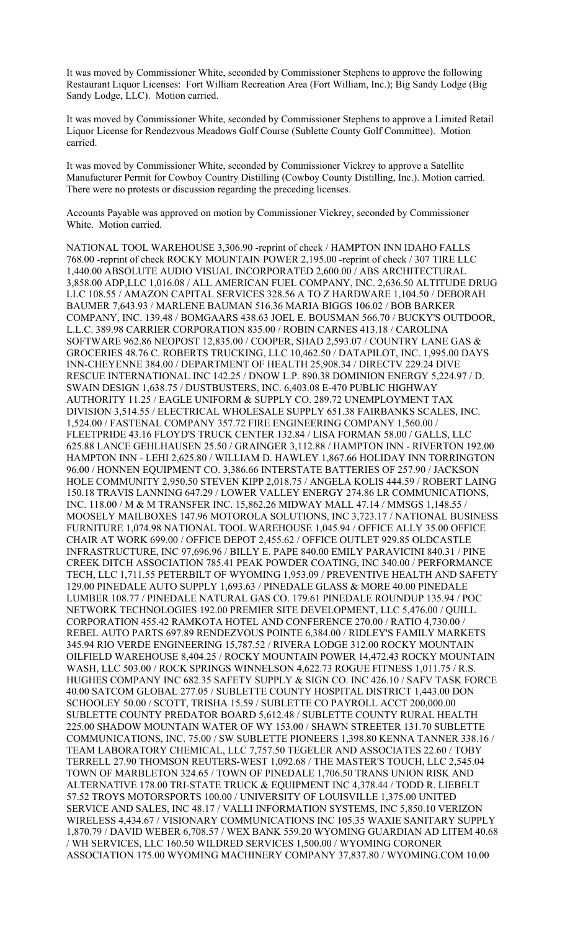It was moved by Commissioner White, seconded by Commissioner Stephens to approve the following Restaurant Liquor Licenses: Fort William Recreation Area (Fort William, Inc.); Big Sandy Lodge (Big Sandy Lodge, LLC). Motion carried.

It was moved by Commissioner White, seconded by Commissioner Stephens to approve a Limited Retail Liquor License for Rendezvous Meadows Golf Course (Sublette County Golf Committee). Motion carried.

It was moved by Commissioner White, seconded by Commissioner Vickrey to approve a Satellite Manufacturer Permit for Cowboy Country Distilling (Cowboy County Distilling, Inc.). Motion carried. There were no protests or discussion regarding the preceding licenses.

Accounts Payable was approved on motion by Commissioner Vickrey, seconded by Commissioner White. Motion carried.

NATIONAL TOOL WAREHOUSE 3,306.90 -reprint of check / HAMPTON INN IDAHO FALLS 768.00 -reprint of check ROCKY MOUNTAIN POWER 2,195.00 -reprint of check / 307 TIRE LLC 1,440.00 ABSOLUTE AUDIO VISUAL INCORPORATED 2,600.00 / ABS ARCHITECTURAL 3,858.00 ADP,LLC 1,016.08 / ALL AMERICAN FUEL COMPANY, INC. 2,636.50 ALTITUDE DRUG LLC 108.55 / AMAZON CAPITAL SERVICES 328.56 A TO Z HARDWARE 1,104.50 / DEBORAH BAUMER 7,643.93 / MARLENE BAUMAN 516.36 MARIA BIGGS 106.02 / BOB BARKER COMPANY, INC. 139.48 / BOMGAARS 438.63 JOEL E. BOUSMAN 566.70 / BUCKY'S OUTDOOR, L.L.C. 389.98 CARRIER CORPORATION 835.00 / ROBIN CARNES 413.18 / CAROLINA SOFTWARE 962.86 NEOPOST 12,835.00 / COOPER, SHAD 2,593.07 / COUNTRY LANE GAS & GROCERIES 48.76 C. ROBERTS TRUCKING, LLC 10,462.50 / DATAPILOT, INC. 1,995.00 DAYS INN-CHEYENNE 384.00 / DEPARTMENT OF HEALTH 25,908.34 / DIRECTV 229.24 DIVE RESCUE INTERNATIONAL INC 142.25 / DNOW L.P. 890.38 DOMINION ENERGY 5,224.97 / D. SWAIN DESIGN 1,638.75 / DUSTBUSTERS, INC. 6,403.08 E-470 PUBLIC HIGHWAY AUTHORITY 11.25 / EAGLE UNIFORM & SUPPLY CO. 289.72 UNEMPLOYMENT TAX DIVISION 3,514.55 / ELECTRICAL WHOLESALE SUPPLY 651.38 FAIRBANKS SCALES, INC. 1,524.00 / FASTENAL COMPANY 357.72 FIRE ENGINEERING COMPANY 1,560.00 / FLEETPRIDE 43.16 FLOYD'S TRUCK CENTER 132.84 / LISA FORMAN 58.00 / GALLS, LLC 625.88 LANCE GEHLHAUSEN 25.50 / GRAINGER 3,112.88 / HAMPTON INN - RIVERTON 192.00 HAMPTON INN - LEHI 2,625.80 / WILLIAM D. HAWLEY 1,867.66 HOLIDAY INN TORRINGTON 96.00 / HONNEN EQUIPMENT CO. 3,386.66 INTERSTATE BATTERIES OF 257.90 / JACKSON HOLE COMMUNITY 2,950.50 STEVEN KIPP 2,018.75 / ANGELA KOLIS 444.59 / ROBERT LAING 150.18 TRAVIS LANNING 647.29 / LOWER VALLEY ENERGY 274.86 LR COMMUNICATIONS, INC. 118.00 / M & M TRANSFER INC. 15,862.26 MIDWAY MALL 47.14 / MMSGS 1,148.55 / MOOSELY MAILBOXES 147.96 MOTOROLA SOLUTIONS, INC 3,723.17 / NATIONAL BUSINESS FURNITURE 1,074.98 NATIONAL TOOL WAREHOUSE 1,045.94 / OFFICE ALLY 35.00 OFFICE CHAIR AT WORK 699.00 / OFFICE DEPOT 2,455.62 / OFFICE OUTLET 929.85 OLDCASTLE INFRASTRUCTURE, INC 97,696.96 / BILLY E. PAPE 840.00 EMILY PARAVICINI 840.31 / PINE CREEK DITCH ASSOCIATION 785.41 PEAK POWDER COATING, INC 340.00 / PERFORMANCE TECH, LLC 1,711.55 PETERBILT OF WYOMING 1,953.09 / PREVENTIVE HEALTH AND SAFETY 129.00 PINEDALE AUTO SUPPLY 1,693.63 / PINEDALE GLASS & MORE 40.00 PINEDALE LUMBER 108.77 / PINEDALE NATURAL GAS CO. 179.61 PINEDALE ROUNDUP 135.94 / POC NETWORK TECHNOLOGIES 192.00 PREMIER SITE DEVELOPMENT, LLC 5,476.00 / QUILL CORPORATION 455.42 RAMKOTA HOTEL AND CONFERENCE 270.00 / RATIO 4,730.00 / REBEL AUTO PARTS 697.89 RENDEZVOUS POINTE 6,384.00 / RIDLEY'S FAMILY MARKETS 345.94 RIO VERDE ENGINEERING 15,787.52 / RIVERA LODGE 312.00 ROCKY MOUNTAIN OILFIELD WAREHOUSE 8,404.25 / ROCKY MOUNTAIN POWER 14,472.43 ROCKY MOUNTAIN WASH, LLC 503.00 / ROCK SPRINGS WINNELSON 4,622.73 ROGUE FITNESS 1,011.75 / R.S. HUGHES COMPANY INC 682.35 SAFETY SUPPLY & SIGN CO. INC 426.10 / SAFV TASK FORCE 40.00 SATCOM GLOBAL 277.05 / SUBLETTE COUNTY HOSPITAL DISTRICT 1,443.00 DON SCHOOLEY 50.00 / SCOTT, TRISHA 15.59 / SUBLETTE CO PAYROLL ACCT 200,000.00 SUBLETTE COUNTY PREDATOR BOARD 5,612.48 / SUBLETTE COUNTY RURAL HEALTH 225.00 SHADOW MOUNTAIN WATER OF WY 153.00 / SHAWN STREETER 131.70 SUBLETTE COMMUNICATIONS, INC. 75.00 / SW SUBLETTE PIONEERS 1,398.80 KENNA TANNER 338.16 / TEAM LABORATORY CHEMICAL, LLC 7,757.50 TEGELER AND ASSOCIATES 22.60 / TOBY TERRELL 27.90 THOMSON REUTERS-WEST 1,092.68 / THE MASTER'S TOUCH, LLC 2,545.04 TOWN OF MARBLETON 324.65 / TOWN OF PINEDALE 1,706.50 TRANS UNION RISK AND ALTERNATIVE 178.00 TRI-STATE TRUCK & EQUIPMENT INC 4,378.44 / TODD R. LIEBELT 57.52 TROYS MOTORSPORTS 100.00 / UNIVERSITY OF LOUISVILLE 1,375.00 UNITED SERVICE AND SALES, INC 48.17 / VALLI INFORMATION SYSTEMS, INC 5,850.10 VERIZON WIRELESS 4,434.67 / VISIONARY COMMUNICATIONS INC 105.35 WAXIE SANITARY SUPPLY 1,870.79 / DAVID WEBER 6,708.57 / WEX BANK 559.20 WYOMING GUARDIAN AD LITEM 40.68 / WH SERVICES, LLC 160.50 WILDRED SERVICES 1,500.00 / WYOMING CORONER ASSOCIATION 175.00 WYOMING MACHINERY COMPANY 37,837.80 / WYOMING.COM 10.00